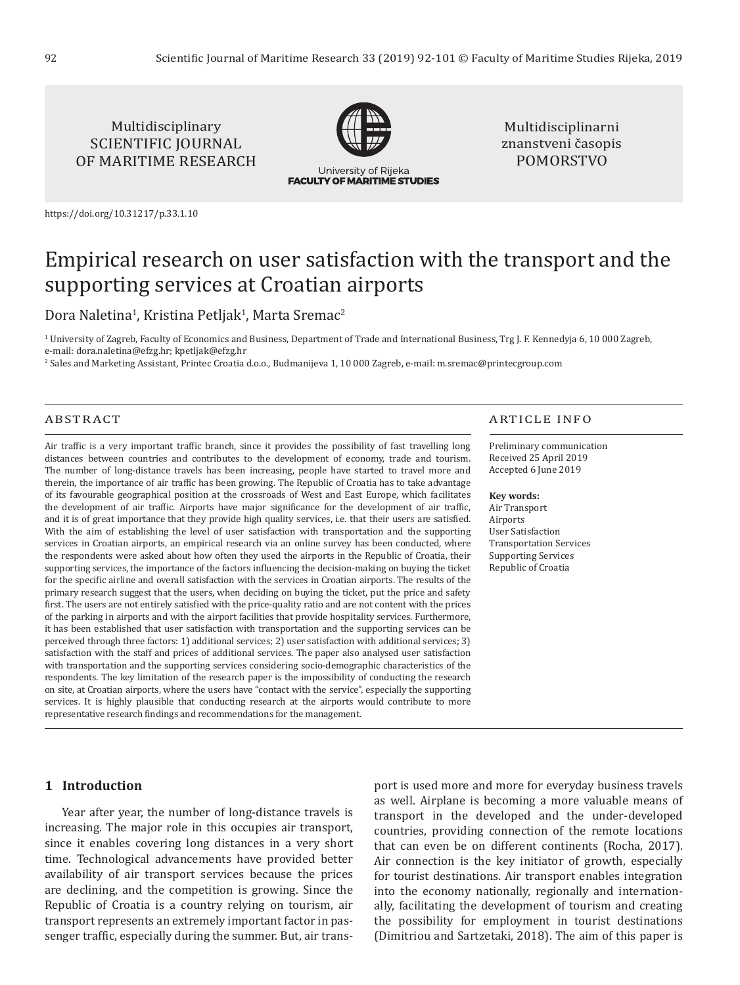Multidisciplinary SCIENTIFIC JOURNAL OF MARITIME RESEARCH



University of Rijeka **FACULTY OF MARITIME STUDIES** 

Multidisciplinarni znanstveni časopis POMORSTVO

<https://doi.org/10.31217/p.33.1.10>

# Empirical research on user satisfaction with the transport and the supporting services at Croatian airports

Dora Naletina<sup>1</sup>, Kristina Petljak<sup>1</sup>, Marta Sremac<sup>2</sup>

1 University of Zagreb, Faculty of Economics and Business, Department of Trade and International Business, Trg J. F. Kennedyja 6, 10 000 Zagreb, e-mail: [dora.naletina@efzg.hr;](mailto:dora.naletina@efzg.hr) [kpetljak@efzg.hr](mailto:kpetljak@efzg.hr)

2 Sales and Marketing Assistant, Printec Croatia d.o.o., Budmanijeva 1, 10 000 Zagreb, e-mail: m.sremac@printecgroup.com

#### ABSTRACT

Air traffic is a very important traffic branch, since it provides the possibility of fast travelling long distances between countries and contributes to the development of economy, trade and tourism. The number of long-distance travels has been increasing, people have started to travel more and therein, the importance of air traffic has been growing. The Republic of Croatia has to take advantage of its favourable geographical position at the crossroads of West and East Europe, which facilitates the development of air traffic. Airports have major significance for the development of air traffic, and it is of great importance that they provide high quality services, i.e. that their users are satisfied. With the aim of establishing the level of user satisfaction with transportation and the supporting services in Croatian airports, an empirical research via an online survey has been conducted, where the respondents were asked about how often they used the airports in the Republic of Croatia, their supporting services, the importance of the factors influencing the decision-making on buying the ticket for the specific airline and overall satisfaction with the services in Croatian airports. The results of the primary research suggest that the users, when deciding on buying the ticket, put the price and safety first. The users are not entirely satisfied with the price-quality ratio and are not content with the prices of the parking in airports and with the airport facilities that provide hospitality services. Furthermore, it has been established that user satisfaction with transportation and the supporting services can be perceived through three factors: 1) additional services; 2) user satisfaction with additional services; 3) satisfaction with the staff and prices of additional services. The paper also analysed user satisfaction with transportation and the supporting services considering socio-demographic characteristics of the respondents. The key limitation of the research paper is the impossibility of conducting the research on site, at Croatian airports, where the users have "contact with the service", especially the supporting services. It is highly plausible that conducting research at the airports would contribute to more representative research findings and recommendations for the management.

#### ARTICLE INFO

Preliminary communication Received 25 April 2019 Accepted 6 June 2019

#### **Key words:**

Air Transport **Airports** User Satisfaction Transportation Services Supporting Services Republic of Croatia

### **1 Introduction**

Year after year, the number of long-distance travels is increasing. The major role in this occupies air transport, since it enables covering long distances in a very short time. Technological advancements have provided better availability of air transport services because the prices are declining, and the competition is growing. Since the Republic of Croatia is a country relying on tourism, air transport represents an extremely important factor in passenger traffic, especially during the summer. But, air transport is used more and more for everyday business travels as well. Airplane is becoming a more valuable means of transport in the developed and the under-developed countries, providing connection of the remote locations that can even be on different continents (Rocha, 2017). Air connection is the key initiator of growth, especially for tourist destinations. Air transport enables integration into the economy nationally, regionally and internationally, facilitating the development of tourism and creating the possibility for employment in tourist destinations (Dimitriou and Sartzetaki, 2018). The aim of this paper is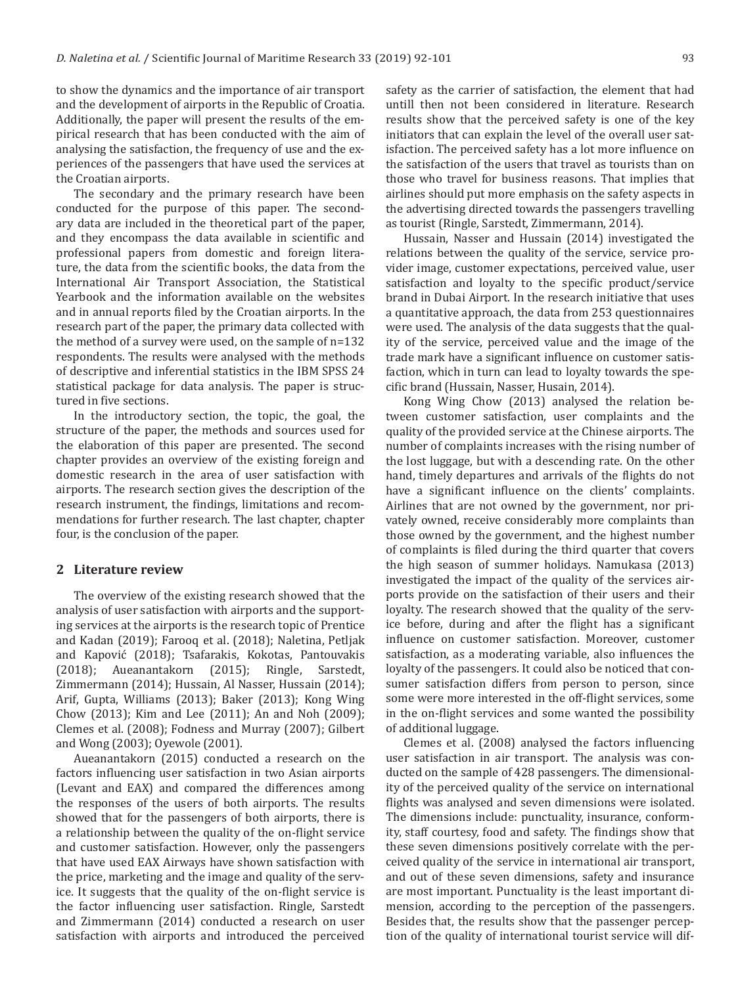to show the dynamics and the importance of air transport and the development of airports in the Republic of Croatia. Additionally, the paper will present the results of the empirical research that has been conducted with the aim of analysing the satisfaction, the frequency of use and the experiences of the passengers that have used the services at the Croatian airports.

The secondary and the primary research have been conducted for the purpose of this paper. The secondary data are included in the theoretical part of the paper, and they encompass the data available in scientific and professional papers from domestic and foreign literature, the data from the scientific books, the data from the International Air Transport Association, the Statistical Yearbook and the information available on the websites and in annual reports filed by the Croatian airports. In the research part of the paper, the primary data collected with the method of a survey were used, on the sample of n=132 respondents. The results were analysed with the methods of descriptive and inferential statistics in the IBM SPSS 24 statistical package for data analysis. The paper is structured in five sections.

In the introductory section, the topic, the goal, the structure of the paper, the methods and sources used for the elaboration of this paper are presented. The second chapter provides an overview of the existing foreign and domestic research in the area of user satisfaction with airports. The research section gives the description of the research instrument, the findings, limitations and recommendations for further research. The last chapter, chapter four, is the conclusion of the paper.

#### **2 Literature review**

The overview of the existing research showed that the analysis of user satisfaction with airports and the supporting services at the airports is the research topic of Prentice and Kadan (2019); Farooq et al. (2018); Naletina, Petljak and Kapović (2018); Tsafarakis, Kokotas, Pantouvakis (2018); Aueanantakorn (2015); Ringle, Sarstedt, Zimmermann (2014); Hussain, Al Nasser, Hussain (2014); Arif, Gupta, Williams (2013); Baker (2013); Kong Wing Chow (2013); Kim and Lee (2011); An and Noh (2009); Clemes et al. (2008); Fodness and Murray (2007); Gilbert and Wong (2003); Oyewole (2001).

Aueanantakorn (2015) conducted a research on the factors influencing user satisfaction in two Asian airports (Levant and EAX) and compared the differences among the responses of the users of both airports. The results showed that for the passengers of both airports, there is a relationship between the quality of the on-flight service and customer satisfaction. However, only the passengers that have used EAX Airways have shown satisfaction with the price, marketing and the image and quality of the service. It suggests that the quality of the on-flight service is the factor influencing user satisfaction. Ringle, Sarstedt and Zimmermann (2014) conducted a research on user satisfaction with airports and introduced the perceived

safety as the carrier of satisfaction, the element that had untill then not been considered in literature. Research results show that the perceived safety is one of the key initiators that can explain the level of the overall user satisfaction. The perceived safety has a lot more influence on the satisfaction of the users that travel as tourists than on those who travel for business reasons. That implies that airlines should put more emphasis on the safety aspects in the advertising directed towards the passengers travelling as tourist (Ringle, Sarstedt, Zimmermann, 2014).

Hussain, Nasser and Hussain (2014) investigated the relations between the quality of the service, service provider image, customer expectations, perceived value, user satisfaction and loyalty to the specific product/service brand in Dubai Airport. In the research initiative that uses a quantitative approach, the data from 253 questionnaires were used. The analysis of the data suggests that the quality of the service, perceived value and the image of the trade mark have a significant influence on customer satisfaction, which in turn can lead to loyalty towards the specific brand (Hussain, Nasser, Husain, 2014).

Kong Wing Chow (2013) analysed the relation between customer satisfaction, user complaints and the quality of the provided service at the Chinese airports. The number of complaints increases with the rising number of the lost luggage, but with a descending rate. On the other hand, timely departures and arrivals of the flights do not have a significant influence on the clients' complaints. Airlines that are not owned by the government, nor privately owned, receive considerably more complaints than those owned by the government, and the highest number of complaints is filed during the third quarter that covers the high season of summer holidays. Namukasa (2013) investigated the impact of the quality of the services airports provide on the satisfaction of their users and their loyalty. The research showed that the quality of the service before, during and after the flight has a significant influence on customer satisfaction. Moreover, customer satisfaction, as a moderating variable, also influences the loyalty of the passengers. It could also be noticed that consumer satisfaction differs from person to person, since some were more interested in the off-flight services, some in the on-flight services and some wanted the possibility of additional luggage.

Clemes et al. (2008) analysed the factors influencing user satisfaction in air transport. The analysis was conducted on the sample of 428 passengers. The dimensionality of the perceived quality of the service on international flights was analysed and seven dimensions were isolated. The dimensions include: punctuality, insurance, conformity, staff courtesy, food and safety. The findings show that these seven dimensions positively correlate with the perceived quality of the service in international air transport, and out of these seven dimensions, safety and insurance are most important. Punctuality is the least important dimension, according to the perception of the passengers. Besides that, the results show that the passenger perception of the quality of international tourist service will dif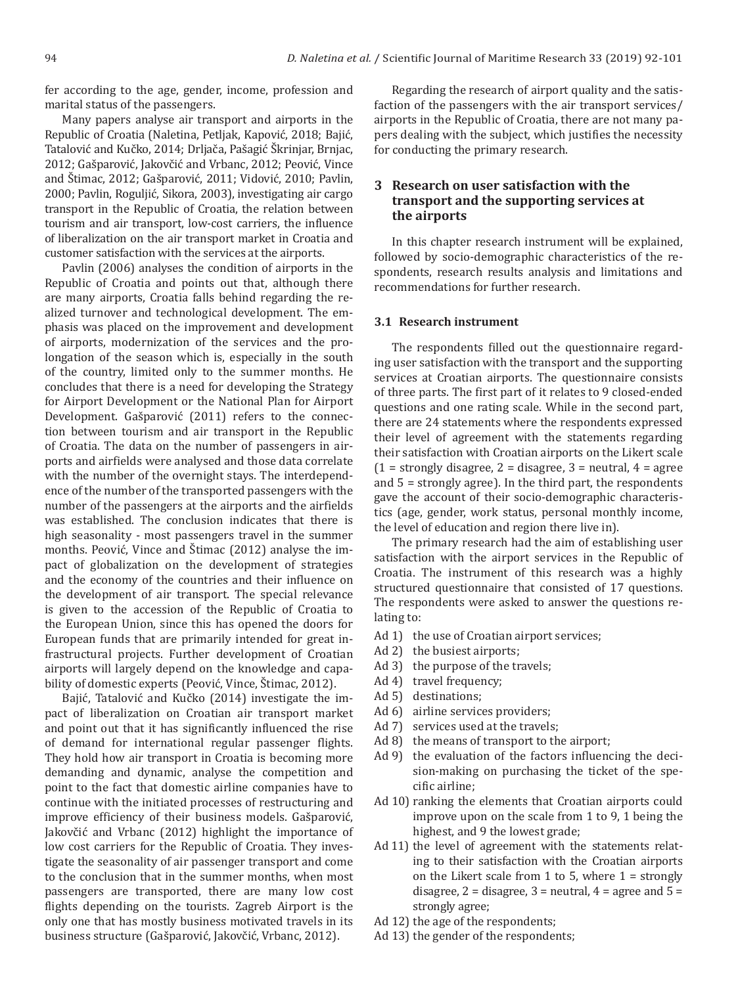fer according to the age, gender, income, profession and marital status of the passengers.

Many papers analyse air transport and airports in the Republic of Croatia (Naletina, Petljak, Kapović, 2018; Bajić, Tatalović and Kučko, 2014; Drljača, Pašagić Škrinjar, Brnjac, 2012; Gašparović, Jakovčić and Vrbanc, 2012; Peović, Vince and Štimac, 2012; Gašparović, 2011; Vidović, 2010; Pavlin, 2000; Pavlin, Roguljić, Sikora, 2003), investigating air cargo transport in the Republic of Croatia, the relation between tourism and air transport, low-cost carriers, the influence of liberalization on the air transport market in Croatia and customer satisfaction with the services at the airports.

Pavlin (2006) analyses the condition of airports in the Republic of Croatia and points out that, although there are many airports, Croatia falls behind regarding the realized turnover and technological development. The emphasis was placed on the improvement and development of airports, modernization of the services and the prolongation of the season which is, especially in the south of the country, limited only to the summer months. He concludes that there is a need for developing the Strategy for Airport Development or the National Plan for Airport Development. Gašparović (2011) refers to the connection between tourism and air transport in the Republic of Croatia. The data on the number of passengers in airports and airfields were analysed and those data correlate with the number of the overnight stays. The interdependence of the number of the transported passengers with the number of the passengers at the airports and the airfields was established. The conclusion indicates that there is high seasonality - most passengers travel in the summer months. Peović, Vince and Štimac (2012) analyse the impact of globalization on the development of strategies and the economy of the countries and their influence on the development of air transport. The special relevance is given to the accession of the Republic of Croatia to the European Union, since this has opened the doors for European funds that are primarily intended for great infrastructural projects. Further development of Croatian airports will largely depend on the knowledge and capability of domestic experts (Peović, Vince, Štimac, 2012).

Bajić, Tatalović and Kučko (2014) investigate the impact of liberalization on Croatian air transport market and point out that it has significantly influenced the rise of demand for international regular passenger flights. They hold how air transport in Croatia is becoming more demanding and dynamic, analyse the competition and point to the fact that domestic airline companies have to continue with the initiated processes of restructuring and improve efficiency of their business models. Gašparović, Jakovčić and Vrbanc (2012) highlight the importance of low cost carriers for the Republic of Croatia. They investigate the seasonality of air passenger transport and come to the conclusion that in the summer months, when most passengers are transported, there are many low cost flights depending on the tourists. Zagreb Airport is the only one that has mostly business motivated travels in its business structure (Gašparović, Jakovčić, Vrbanc, 2012).

Regarding the research of airport quality and the satisfaction of the passengers with the air transport services/ airports in the Republic of Croatia, there are not many papers dealing with the subject, which justifies the necessity for conducting the primary research.

# **3 Research on user satisfaction with the transport and the supporting services at the airports**

In this chapter research instrument will be explained, followed by socio-demographic characteristics of the respondents, research results analysis and limitations and recommendations for further research.

#### **3.1 Research instrument**

The respondents filled out the questionnaire regarding user satisfaction with the transport and the supporting services at Croatian airports. The questionnaire consists of three parts. The first part of it relates to 9 closed-ended questions and one rating scale. While in the second part, there are 24 statements where the respondents expressed their level of agreement with the statements regarding their satisfaction with Croatian airports on the Likert scale  $(1 =$  strongly disagree,  $2 =$  disagree,  $3 =$  neutral,  $4 =$  agree and 5 = strongly agree). In the third part, the respondents gave the account of their socio-demographic characteristics (age, gender, work status, personal monthly income, the level of education and region there live in).

The primary research had the aim of establishing user satisfaction with the airport services in the Republic of Croatia. The instrument of this research was a highly structured questionnaire that consisted of 17 questions. The respondents were asked to answer the questions relating to:

- Ad 1) the use of Croatian airport services;
- Ad 2) the busiest airports;
- Ad 3) the purpose of the travels;
- Ad 4) travel frequency;
- Ad 5) destinations;
- Ad 6) airline services providers;
- Ad 7) services used at the travels;
- Ad 8) the means of transport to the airport;
- Ad 9) the evaluation of the factors influencing the decision-making on purchasing the ticket of the specific airline;
- Ad 10) ranking the elements that Croatian airports could improve upon on the scale from 1 to 9, 1 being the highest, and 9 the lowest grade;
- Ad 11) the level of agreement with the statements relating to their satisfaction with the Croatian airports on the Likert scale from 1 to 5, where  $1 =$  strongly disagree,  $2 =$  disagree,  $3 =$  neutral,  $4 =$  agree and  $5 =$ strongly agree;
- Ad 12) the age of the respondents;
- Ad 13) the gender of the respondents;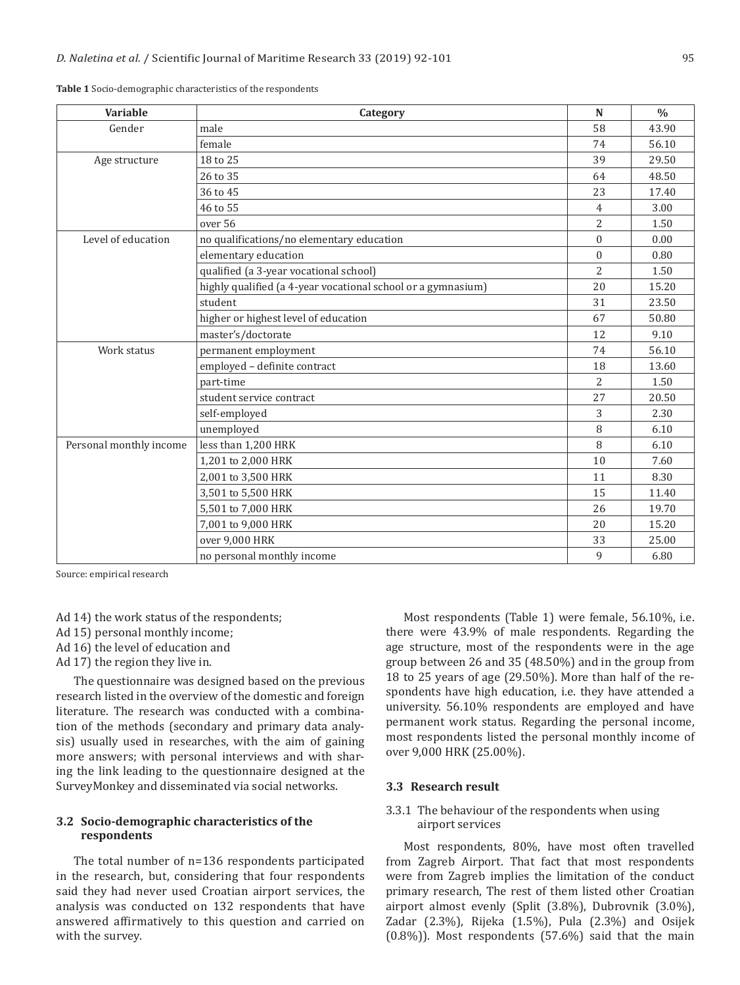| Variable                | Category                                                     | N              | $\frac{0}{0}$ |
|-------------------------|--------------------------------------------------------------|----------------|---------------|
| Gender                  | male                                                         | 58             | 43.90         |
|                         | female                                                       | 74             | 56.10         |
| Age structure           | 18 to 25                                                     | 39             | 29.50         |
|                         | 26 to 35                                                     | 64             | 48.50         |
|                         | 36 to 45                                                     | 23             | 17.40         |
|                         | 46 to 55                                                     | $\overline{4}$ | 3.00          |
|                         | over 56                                                      | 2              | 1.50          |
| Level of education      | no qualifications/no elementary education                    | $\mathbf{0}$   | 0.00          |
|                         | elementary education                                         | $\theta$       | 0.80          |
|                         | qualified (a 3-year vocational school)                       | 2              | 1.50          |
|                         | highly qualified (a 4-year vocational school or a gymnasium) | 20             | 15.20         |
|                         | student                                                      | 31             | 23.50         |
|                         | higher or highest level of education                         | 67             | 50.80         |
|                         | master's/doctorate                                           | 12             | 9.10          |
| Work status             | permanent employment                                         | 74             | 56.10         |
|                         | employed - definite contract                                 | 18             | 13.60         |
|                         | part-time                                                    | $\mathcal{L}$  | 1.50          |
|                         | student service contract                                     | 27             | 20.50         |
|                         | self-employed                                                | 3              | 2.30          |
|                         | unemployed                                                   | 8              | 6.10          |
| Personal monthly income | less than 1,200 HRK                                          | 8              | 6.10          |
|                         | 1,201 to 2,000 HRK                                           | 10             | 7.60          |
|                         | 2,001 to 3,500 HRK                                           | 11             | 8.30          |
|                         | 3,501 to 5,500 HRK                                           | 15             | 11.40         |
|                         | 5,501 to 7,000 HRK                                           | 26             | 19.70         |
|                         | 7,001 to 9,000 HRK                                           | 20             | 15.20         |
|                         | over 9,000 HRK                                               | 33             | 25.00         |
|                         | no personal monthly income                                   | 9              | 6.80          |

**Table 1** Socio-demographic characteristics of the respondents

Source: empirical research

Ad 14) the work status of the respondents; Ad 15) personal monthly income;

- Ad 16) the level of education and
- Ad 17) the region they live in.

The questionnaire was designed based on the previous research listed in the overview of the domestic and foreign literature. The research was conducted with a combination of the methods (secondary and primary data analysis) usually used in researches, with the aim of gaining more answers; with personal interviews and with sharing the link leading to the questionnaire designed at the SurveyMonkey and disseminated via social networks.

#### **3.2 Socio-demographic characteristics of the respondents**

The total number of n=136 respondents participated in the research, but, considering that four respondents said they had never used Croatian airport services, the analysis was conducted on 132 respondents that have answered affirmatively to this question and carried on with the survey.

Most respondents (Table 1) were female, 56.10%, i.e. there were 43.9% of male respondents. Regarding the age structure, most of the respondents were in the age group between 26 and 35 (48.50%) and in the group from 18 to 25 years of age (29.50%). More than half of the respondents have high education, i.e. they have attended a university. 56.10% respondents are employed and have permanent work status. Regarding the personal income, most respondents listed the personal monthly income of over 9,000 HRK (25.00%).

#### **3.3 Research result**

#### 3.3.1 The behaviour of the respondents when using airport services

Most respondents, 80%, have most often travelled from Zagreb Airport. That fact that most respondents were from Zagreb implies the limitation of the conduct primary research, The rest of them listed other Croatian airport almost evenly (Split (3.8%), Dubrovnik (3.0%), Zadar (2.3%), Rijeka (1.5%), Pula (2.3%) and Osijek (0.8%)). Most respondents (57.6%) said that the main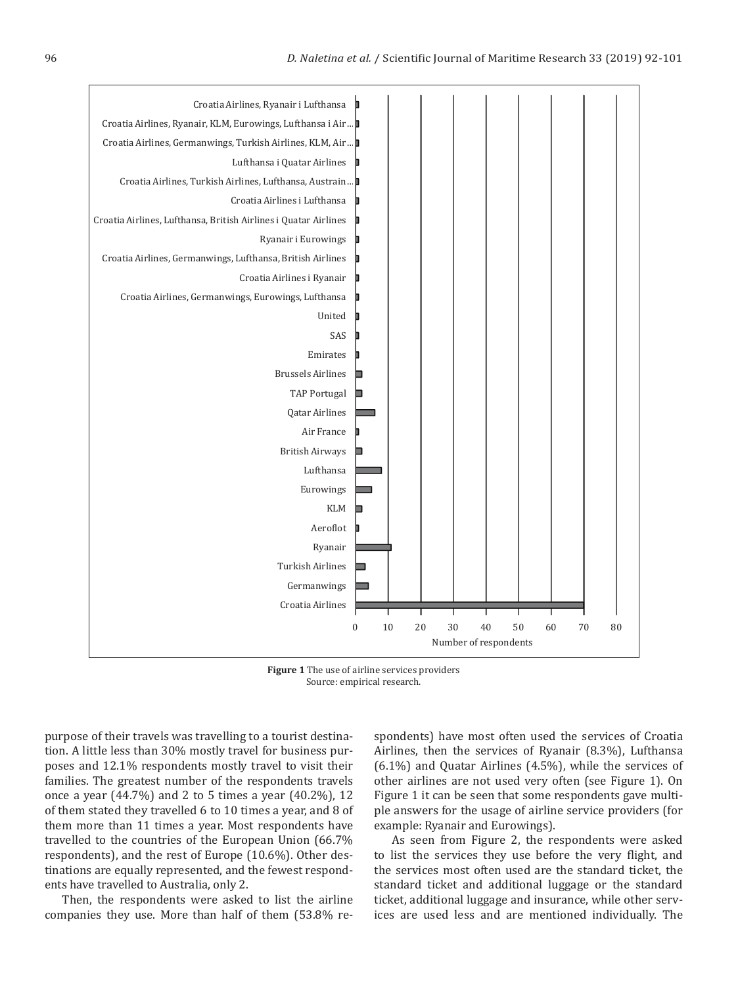

**Figure 1** The use of airline services providers Source: empirical research.

purpose of their travels was travelling to a tourist destination. A little less than 30% mostly travel for business purposes and 12.1% respondents mostly travel to visit their families. The greatest number of the respondents travels once a year (44.7%) and 2 to 5 times a year (40.2%), 12 of them stated they travelled 6 to 10 times a year, and 8 of them more than 11 times a year. Most respondents have travelled to the countries of the European Union (66.7% respondents), and the rest of Europe (10.6%). Other destinations are equally represented, and the fewest respondents have travelled to Australia, only 2.

Then, the respondents were asked to list the airline companies they use. More than half of them (53.8% respondents) have most often used the services of Croatia Airlines, then the services of Ryanair (8.3%), Lufthansa (6.1%) and Quatar Airlines (4.5%), while the services of other airlines are not used very often (see Figure 1). On Figure 1 it can be seen that some respondents gave multiple answers for the usage of airline service providers (for example: Ryanair and Eurowings).

As seen from Figure 2, the respondents were asked to list the services they use before the very flight, and the services most often used are the standard ticket, the standard ticket and additional luggage or the standard ticket, additional luggage and insurance, while other services are used less and are mentioned individually. The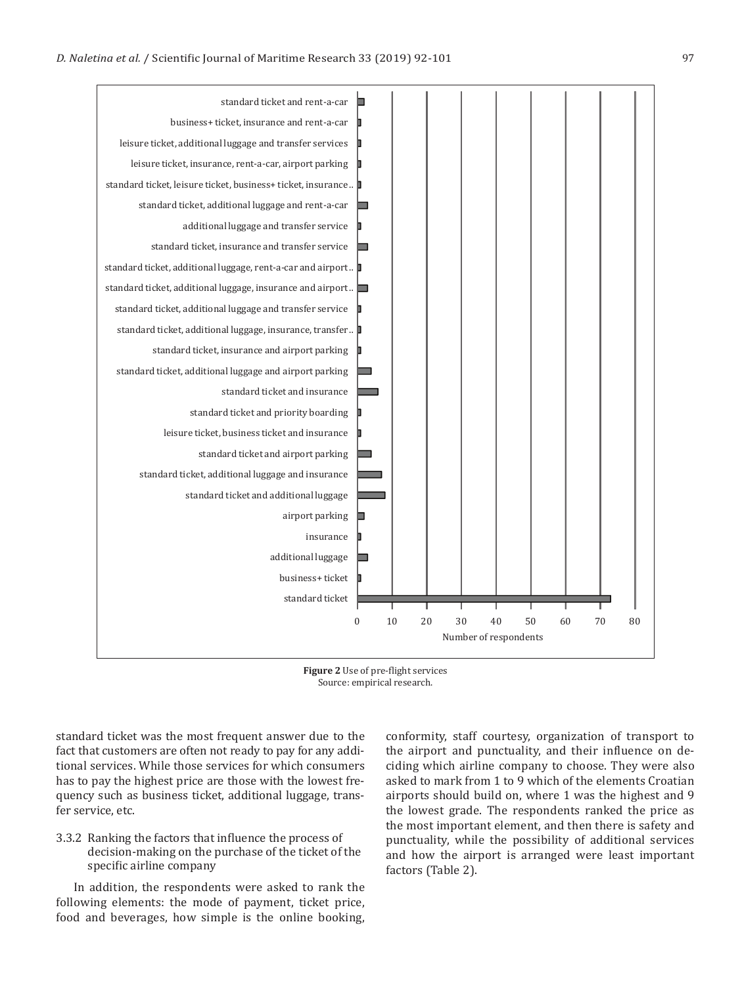



standard ticket was the most frequent answer due to the fact that customers are often not ready to pay for any additional services. While those services for which consumers has to pay the highest price are those with the lowest frequency such as business ticket, additional luggage, transfer service, etc.

#### 3.3.2 Ranking the factors that influence the process of decision-making on the purchase of the ticket of the specific airline company

In addition, the respondents were asked to rank the following elements: the mode of payment, ticket price, food and beverages, how simple is the online booking, conformity, staff courtesy, organization of transport to the airport and punctuality, and their influence on deciding which airline company to choose. They were also asked to mark from 1 to 9 which of the elements Croatian airports should build on, where 1 was the highest and 9 the lowest grade. The respondents ranked the price as the most important element, and then there is safety and punctuality, while the possibility of additional services and how the airport is arranged were least important factors (Table 2).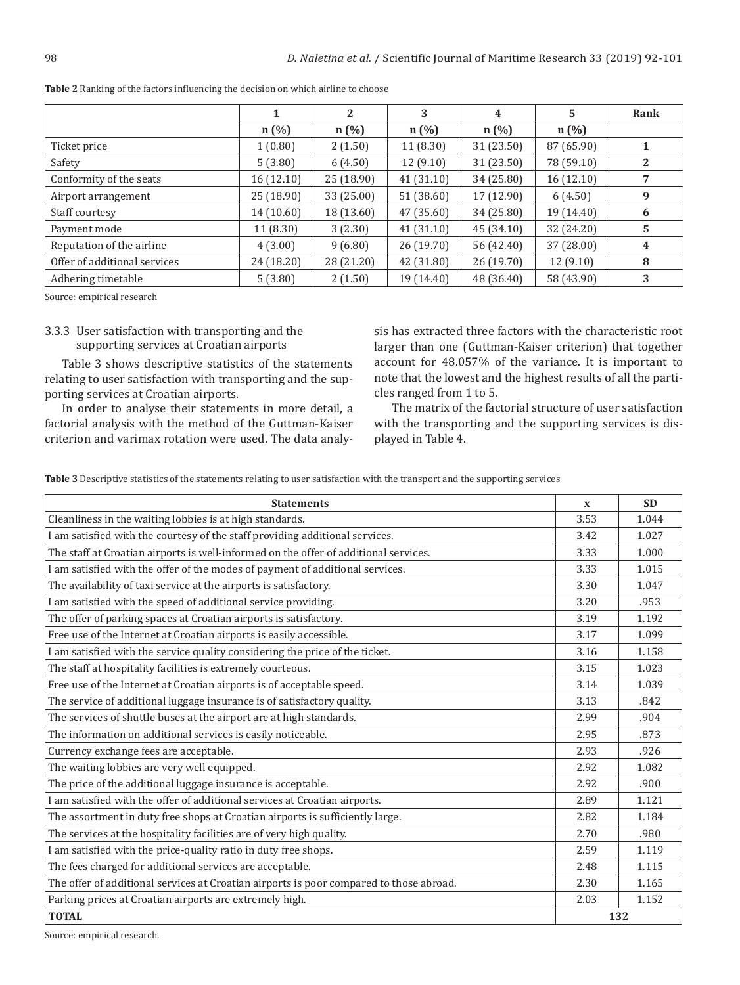|                              |            | 2          | 3          | 4          | 5          | Rank |
|------------------------------|------------|------------|------------|------------|------------|------|
|                              | $n(\%)$    | $n(\%)$    | $n(\%)$    | $n(\%)$    | $n$ (%)    |      |
| Ticket price                 | 1(0.80)    | 2(1.50)    | 11(8.30)   | 31 (23.50) | 87 (65.90) |      |
| Safety                       | 5(3.80)    | 6(4.50)    | 12(9.10)   | 31 (23.50) | 78 (59.10) | 2    |
| Conformity of the seats      | 16 (12.10) | 25(18.90)  | 41(31.10)  | 34 (25.80) | 16(12.10)  |      |
| Airport arrangement          | 25 (18.90) | 33 (25.00) | 51 (38.60) | 17 (12.90) | 6(4.50)    | 9    |
| Staff courtesy               | 14 (10.60) | 18 (13.60) | 47 (35.60) | 34 (25.80) | 19 (14.40) | 6    |
| Payment mode                 | 11 (8.30)  | 3(2.30)    | 41 (31.10) | 45 (34.10) | 32 (24.20) | 5    |
| Reputation of the airline    | 4(3.00)    | 9(6.80)    | 26 (19.70) | 56 (42.40) | 37 (28.00) | 4    |
| Offer of additional services | 24 (18.20) | 28 (21.20) | 42 (31.80) | 26(19.70)  | 12(9.10)   | 8    |
| Adhering timetable           | 5(3.80)    | 2(1.50)    | 19 (14.40) | 48 (36.40) | 58 (43.90) | 3    |

**Table 2** Ranking of the factors influencing the decision on which airline to choose

Source: empirical research

#### 3.3.3 User satisfaction with transporting and the supporting services at Croatian airports

Table 3 shows descriptive statistics of the statements relating to user satisfaction with transporting and the supporting services at Croatian airports.

In order to analyse their statements in more detail, a factorial analysis with the method of the Guttman-Kaiser criterion and varimax rotation were used. The data analysis has extracted three factors with the characteristic root larger than one (Guttman-Kaiser criterion) that together account for 48.057% of the variance. It is important to note that the lowest and the highest results of all the particles ranged from 1 to 5.

The matrix of the factorial structure of user satisfaction with the transporting and the supporting services is displayed in Table 4.

**Table 3** Descriptive statistics of the statements relating to user satisfaction with the transport and the supporting services

| <b>Statements</b>                                                                       | $\mathbf{x}$ | <b>SD</b> |  |
|-----------------------------------------------------------------------------------------|--------------|-----------|--|
| Cleanliness in the waiting lobbies is at high standards.                                |              | 1.044     |  |
| I am satisfied with the courtesy of the staff providing additional services.            |              | 1.027     |  |
| The staff at Croatian airports is well-informed on the offer of additional services.    | 3.33         | 1.000     |  |
| I am satisfied with the offer of the modes of payment of additional services.           | 3.33         | 1.015     |  |
| The availability of taxi service at the airports is satisfactory.                       | 3.30         | 1.047     |  |
| I am satisfied with the speed of additional service providing.                          | 3.20         | .953      |  |
| The offer of parking spaces at Croatian airports is satisfactory.                       | 3.19         | 1.192     |  |
| Free use of the Internet at Croatian airports is easily accessible.                     | 3.17         | 1.099     |  |
| I am satisfied with the service quality considering the price of the ticket.            | 3.16         | 1.158     |  |
| The staff at hospitality facilities is extremely courteous.                             | 3.15         | 1.023     |  |
| Free use of the Internet at Croatian airports is of acceptable speed.                   | 3.14         | 1.039     |  |
| The service of additional luggage insurance is of satisfactory quality.                 | 3.13         | .842      |  |
| The services of shuttle buses at the airport are at high standards.                     | 2.99         | .904      |  |
| The information on additional services is easily noticeable.                            |              | .873      |  |
| Currency exchange fees are acceptable.                                                  |              | .926      |  |
| The waiting lobbies are very well equipped.                                             |              | 1.082     |  |
| The price of the additional luggage insurance is acceptable.                            |              | .900      |  |
| I am satisfied with the offer of additional services at Croatian airports.              |              | 1.121     |  |
| The assortment in duty free shops at Croatian airports is sufficiently large.           |              | 1.184     |  |
| The services at the hospitality facilities are of very high quality.                    |              | .980      |  |
| I am satisfied with the price-quality ratio in duty free shops.                         |              | 1.119     |  |
| The fees charged for additional services are acceptable.                                |              | 1.115     |  |
| The offer of additional services at Croatian airports is poor compared to those abroad. |              | 1.165     |  |
| Parking prices at Croatian airports are extremely high.                                 |              | 1.152     |  |
| <b>TOTAL</b>                                                                            |              | 132       |  |

Source: empirical research.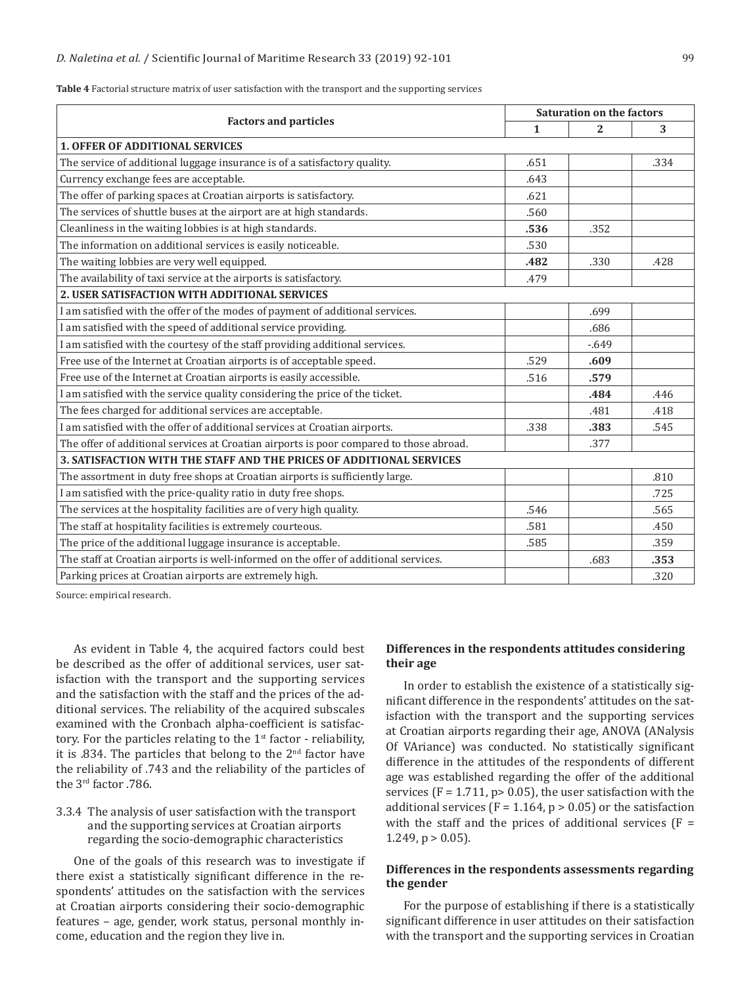|                                                                                         |              | <b>Saturation on the factors</b> |      |  |  |  |
|-----------------------------------------------------------------------------------------|--------------|----------------------------------|------|--|--|--|
| <b>Factors and particles</b>                                                            | $\mathbf{1}$ | 2                                | 3    |  |  |  |
| <b>1. OFFER OF ADDITIONAL SERVICES</b>                                                  |              |                                  |      |  |  |  |
| The service of additional luggage insurance is of a satisfactory quality.               | .651         |                                  | .334 |  |  |  |
| Currency exchange fees are acceptable.                                                  | .643         |                                  |      |  |  |  |
| The offer of parking spaces at Croatian airports is satisfactory.                       | .621         |                                  |      |  |  |  |
| The services of shuttle buses at the airport are at high standards.                     | .560         |                                  |      |  |  |  |
| Cleanliness in the waiting lobbies is at high standards.                                | .536         | .352                             |      |  |  |  |
| The information on additional services is easily noticeable.                            | .530         |                                  |      |  |  |  |
| The waiting lobbies are very well equipped.                                             | .482         | .330                             | .428 |  |  |  |
| The availability of taxi service at the airports is satisfactory.                       | .479         |                                  |      |  |  |  |
| 2. USER SATISFACTION WITH ADDITIONAL SERVICES                                           |              |                                  |      |  |  |  |
| I am satisfied with the offer of the modes of payment of additional services.           |              | .699                             |      |  |  |  |
| I am satisfied with the speed of additional service providing.                          |              | .686                             |      |  |  |  |
| I am satisfied with the courtesy of the staff providing additional services.            |              | $-0.649$                         |      |  |  |  |
| Free use of the Internet at Croatian airports is of acceptable speed.                   | .529         | .609                             |      |  |  |  |
| Free use of the Internet at Croatian airports is easily accessible.                     | .516         | .579                             |      |  |  |  |
| I am satisfied with the service quality considering the price of the ticket.            |              | .484                             | .446 |  |  |  |
| The fees charged for additional services are acceptable.                                |              | .481                             | .418 |  |  |  |
| I am satisfied with the offer of additional services at Croatian airports.              | .338         | .383                             | .545 |  |  |  |
| The offer of additional services at Croatian airports is poor compared to those abroad. |              | .377                             |      |  |  |  |
| 3. SATISFACTION WITH THE STAFF AND THE PRICES OF ADDITIONAL SERVICES                    |              |                                  |      |  |  |  |
| The assortment in duty free shops at Croatian airports is sufficiently large.           |              |                                  | .810 |  |  |  |
| I am satisfied with the price-quality ratio in duty free shops.                         |              |                                  | .725 |  |  |  |
| The services at the hospitality facilities are of very high quality.                    | .546         |                                  | .565 |  |  |  |
| The staff at hospitality facilities is extremely courteous.                             | .581         |                                  | .450 |  |  |  |
| The price of the additional luggage insurance is acceptable.                            | .585         |                                  | .359 |  |  |  |
| The staff at Croatian airports is well-informed on the offer of additional services.    |              | .683                             | .353 |  |  |  |
| Parking prices at Croatian airports are extremely high.                                 |              |                                  | .320 |  |  |  |

**Table 4** Factorial structure matrix of user satisfaction with the transport and the supporting services

Source: empirical research.

As evident in Table 4, the acquired factors could best be described as the offer of additional services, user satisfaction with the transport and the supporting services and the satisfaction with the staff and the prices of the additional services. The reliability of the acquired subscales examined with the Cronbach alpha-coefficient is satisfactory. For the particles relating to the  $1<sup>st</sup>$  factor - reliability, it is .834. The particles that belong to the 2nd factor have the reliability of .743 and the reliability of the particles of the 3rd factor .786.

# 3.3.4 The analysis of user satisfaction with the transport and the supporting services at Croatian airports regarding the socio-demographic characteristics

One of the goals of this research was to investigate if there exist a statistically significant difference in the respondents' attitudes on the satisfaction with the services at Croatian airports considering their socio-demographic features – age, gender, work status, personal monthly income, education and the region they live in.

#### **Differences in the respondents attitudes considering their age**

In order to establish the existence of a statistically significant difference in the respondents' attitudes on the satisfaction with the transport and the supporting services at Croatian airports regarding their age, ANOVA (ANalysis Of VAriance) was conducted. No statistically significant difference in the attitudes of the respondents of different age was established regarding the offer of the additional services ( $F = 1.711$ ,  $p > 0.05$ ), the user satisfaction with the additional services ( $F = 1.164$ ,  $p > 0.05$ ) or the satisfaction with the staff and the prices of additional services  $(F =$ 1.249,  $p > 0.05$ ).

### **Differences in the respondents assessments regarding the gender**

For the purpose of establishing if there is a statistically significant difference in user attitudes on their satisfaction with the transport and the supporting services in Croatian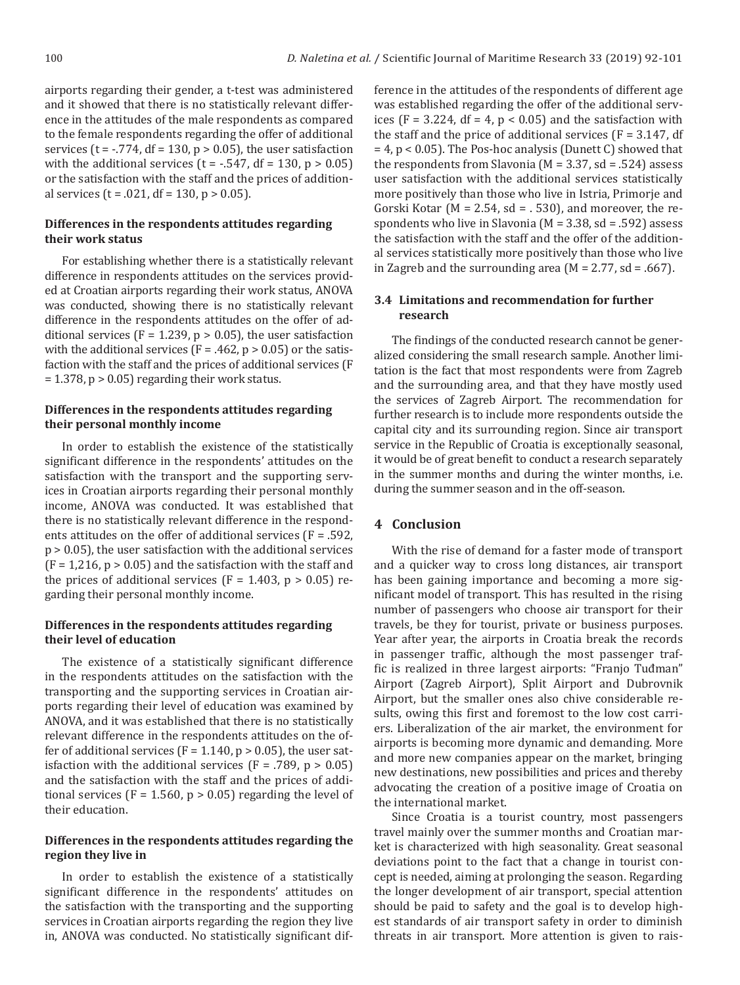airports regarding their gender, a t-test was administered and it showed that there is no statistically relevant difference in the attitudes of the male respondents as compared to the female respondents regarding the offer of additional services ( $t = -0.774$ , df = 130,  $p > 0.05$ ), the user satisfaction with the additional services ( $t = -.547$ , df = 130,  $p > 0.05$ ) or the satisfaction with the staff and the prices of additional services ( $t = .021$ , df = 130,  $p > 0.05$ ).

### **Differences in the respondents attitudes regarding their work status**

For establishing whether there is a statistically relevant difference in respondents attitudes on the services provided at Croatian airports regarding their work status, ANOVA was conducted, showing there is no statistically relevant difference in the respondents attitudes on the offer of additional services (F = 1.239,  $p > 0.05$ ), the user satisfaction with the additional services ( $F = .462$ ,  $p > 0.05$ ) or the satisfaction with the staff and the prices of additional services (F  $= 1.378$ ,  $p > 0.05$  regarding their work status.

#### **Differences in the respondents attitudes regarding their personal monthly income**

In order to establish the existence of the statistically significant difference in the respondents' attitudes on the satisfaction with the transport and the supporting services in Croatian airports regarding their personal monthly income, ANOVA was conducted. It was established that there is no statistically relevant difference in the respondents attitudes on the offer of additional services (F = .592, p > 0.05), the user satisfaction with the additional services  $(F = 1,216, p > 0.05)$  and the satisfaction with the staff and the prices of additional services ( $F = 1.403$ ,  $p > 0.05$ ) regarding their personal monthly income.

# **Differences in the respondents attitudes regarding their level of education**

The existence of a statistically significant difference in the respondents attitudes on the satisfaction with the transporting and the supporting services in Croatian airports regarding their level of education was examined by ANOVA, and it was established that there is no statistically relevant difference in the respondents attitudes on the offer of additional services ( $F = 1.140$ ,  $p > 0.05$ ), the user satisfaction with the additional services ( $F = .789$ ,  $p > 0.05$ ) and the satisfaction with the staff and the prices of additional services ( $F = 1.560$ ,  $p > 0.05$ ) regarding the level of their education.

### **Differences in the respondents attitudes regarding the region they live in**

In order to establish the existence of a statistically significant difference in the respondents' attitudes on the satisfaction with the transporting and the supporting services in Croatian airports regarding the region they live in, ANOVA was conducted. No statistically significant difference in the attitudes of the respondents of different age was established regarding the offer of the additional services (F = 3.224, df = 4,  $p < 0.05$ ) and the satisfaction with the staff and the price of additional services  $(F = 3.147, df)$  $= 4$ ,  $p < 0.05$ ). The Pos-hoc analysis (Dunett C) showed that the respondents from Slavonia ( $M = 3.37$ , sd = .524) assess user satisfaction with the additional services statistically more positively than those who live in Istria, Primorje and Gorski Kotar ( $M = 2.54$ , sd = . 530), and moreover, the respondents who live in Slavonia (M = 3.38, sd = .592) assess the satisfaction with the staff and the offer of the additional services statistically more positively than those who live in Zagreb and the surrounding area ( $M = 2.77$ , sd = .667).

# **3.4 Limitations and recommendation for further research**

The findings of the conducted research cannot be generalized considering the small research sample. Another limitation is the fact that most respondents were from Zagreb and the surrounding area, and that they have mostly used the services of Zagreb Airport. The recommendation for further research is to include more respondents outside the capital city and its surrounding region. Since air transport service in the Republic of Croatia is exceptionally seasonal, it would be of great benefit to conduct a research separately in the summer months and during the winter months, i.e. during the summer season and in the off-season.

# **4 Conclusion**

With the rise of demand for a faster mode of transport and a quicker way to cross long distances, air transport has been gaining importance and becoming a more significant model of transport. This has resulted in the rising number of passengers who choose air transport for their travels, be they for tourist, private or business purposes. Year after year, the airports in Croatia break the records in passenger traffic, although the most passenger traffic is realized in three largest airports: "Franjo Tuđman" Airport (Zagreb Airport), Split Airport and Dubrovnik Airport, but the smaller ones also chive considerable results, owing this first and foremost to the low cost carriers. Liberalization of the air market, the environment for airports is becoming more dynamic and demanding. More and more new companies appear on the market, bringing new destinations, new possibilities and prices and thereby advocating the creation of a positive image of Croatia on the international market.

Since Croatia is a tourist country, most passengers travel mainly over the summer months and Croatian market is characterized with high seasonality. Great seasonal deviations point to the fact that a change in tourist concept is needed, aiming at prolonging the season. Regarding the longer development of air transport, special attention should be paid to safety and the goal is to develop highest standards of air transport safety in order to diminish threats in air transport. More attention is given to rais